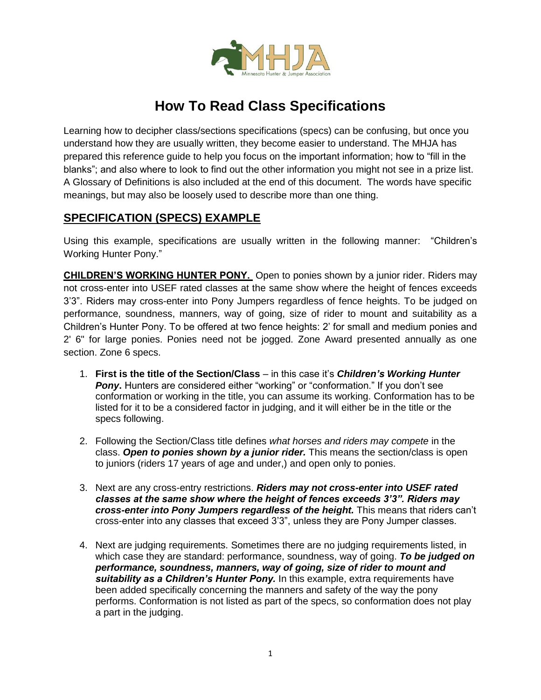

## **How To Read Class Specifications**

Learning how to decipher class/sections specifications (specs) can be confusing, but once you understand how they are usually written, they become easier to understand. The MHJA has prepared this reference guide to help you focus on the important information; how to "fill in the blanks"; and also where to look to find out the other information you might not see in a prize list. A Glossary of Definitions is also included at the end of this document. The words have specific meanings, but may also be loosely used to describe more than one thing.

## **SPECIFICATION (SPECS) EXAMPLE**

Using this example, specifications are usually written in the following manner: "Children's Working Hunter Pony."

**CHILDREN'S WORKING HUNTER PONY.** Open to ponies shown by a junior rider. Riders may not cross-enter into USEF rated classes at the same show where the height of fences exceeds 3'3". Riders may cross-enter into Pony Jumpers regardless of fence heights. To be judged on performance, soundness, manners, way of going, size of rider to mount and suitability as a Children's Hunter Pony. To be offered at two fence heights: 2' for small and medium ponies and 2' 6" for large ponies. Ponies need not be jogged. Zone Award presented annually as one section. Zone 6 specs.

- 1. **First is the title of the Section/Class** in this case it's *Children's Working Hunter Pony***.** Hunters are considered either "working" or "conformation." If you don't see conformation or working in the title, you can assume its working. Conformation has to be listed for it to be a considered factor in judging, and it will either be in the title or the specs following.
- 2. Following the Section/Class title defines *what horses and riders may compete* in the class. *Open to ponies shown by a junior rider.* This means the section/class is open to juniors (riders 17 years of age and under,) and open only to ponies.
- 3. Next are any cross-entry restrictions. *Riders may not cross-enter into USEF rated classes at the same show where the height of fences exceeds 3'3". Riders may cross-enter into Pony Jumpers regardless of the height.* This means that riders can't cross-enter into any classes that exceed 3'3", unless they are Pony Jumper classes.
- 4. Next are judging requirements. Sometimes there are no judging requirements listed, in which case they are standard: performance, soundness, way of going. *To be judged on performance, soundness, manners, way of going, size of rider to mount and suitability as a Children's Hunter Pony.* In this example, extra requirements have been added specifically concerning the manners and safety of the way the pony performs. Conformation is not listed as part of the specs, so conformation does not play a part in the judging.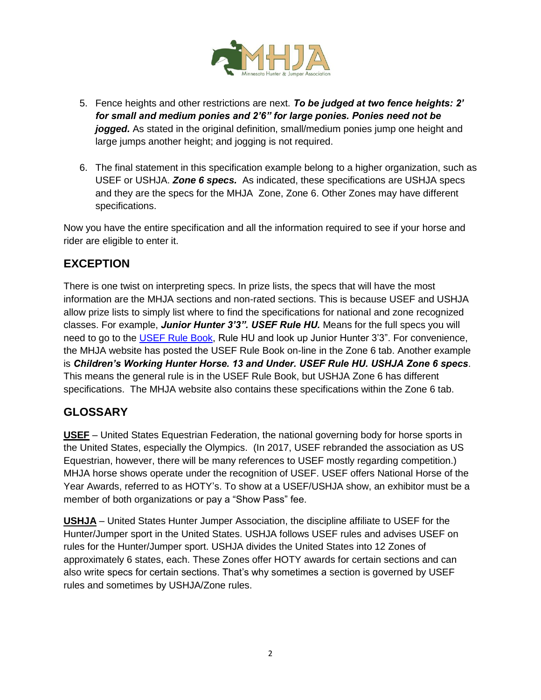

- 5. Fence heights and other restrictions are next. *To be judged at two fence heights: 2' for small and medium ponies and 2'6" for large ponies. Ponies need not be jogged.* As stated in the original definition, small/medium ponies jump one height and large jumps another height; and jogging is not required.
- 6. The final statement in this specification example belong to a higher organization, such as USEF or USHJA. *Zone 6 specs.* As indicated, these specifications are USHJA specs and they are the specs for the MHJA Zone, Zone 6. Other Zones may have different specifications.

Now you have the entire specification and all the information required to see if your horse and rider are eligible to enter it.

## **EXCEPTION**

There is one twist on interpreting specs. In prize lists, the specs that will have the most information are the MHJA sections and non-rated sections. This is because USEF and USHJA allow prize lists to simply list where to find the specifications for national and zone recognized classes. For example, *Junior Hunter 3'3". USEF Rule HU.* Means for the full specs you will need to go to the [USEF Rule Book,](https://www.usef.org/compete/resources-forms/rules-regulations) Rule HU and look up Junior Hunter 3'3". For convenience, the MHJA website has posted the USEF Rule Book on-line in the Zone 6 tab. Another example is *Children's Working Hunter Horse. 13 and Under. USEF Rule HU. USHJA Zone 6 specs*. This means the general rule is in the USEF Rule Book, but USHJA Zone 6 has different specifications. The MHJA website also contains these specifications within the Zone 6 tab.

## **GLOSSARY**

**USEF** – United States Equestrian Federation, the national governing body for horse sports in the United States, especially the Olympics. (In 2017, USEF rebranded the association as US Equestrian, however, there will be many references to USEF mostly regarding competition.) MHJA horse shows operate under the recognition of USEF. USEF offers National Horse of the Year Awards, referred to as HOTY's. To show at a USEF/USHJA show, an exhibitor must be a member of both organizations or pay a "Show Pass" fee.

**USHJA** – United States Hunter Jumper Association, the discipline affiliate to USEF for the Hunter/Jumper sport in the United States. USHJA follows USEF rules and advises USEF on rules for the Hunter/Jumper sport. USHJA divides the United States into 12 Zones of approximately 6 states, each. These Zones offer HOTY awards for certain sections and can also write specs for certain sections. That's why sometimes a section is governed by USEF rules and sometimes by USHJA/Zone rules.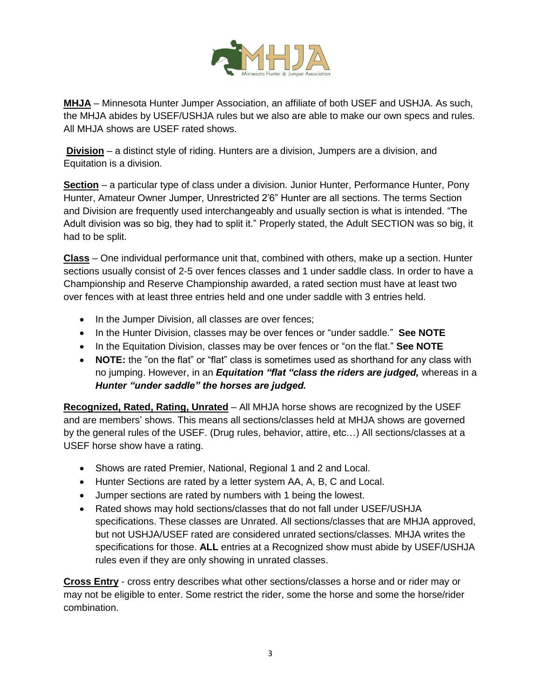

**MHJA** – Minnesota Hunter Jumper Association, an affiliate of both USEF and USHJA. As such, the MHJA abides by USEF/USHJA rules but we also are able to make our own specs and rules. All MHJA shows are USEF rated shows.

**Division** – a distinct style of riding. Hunters are a division, Jumpers are a division, and Equitation is a division.

**Section** – a particular type of class under a division. Junior Hunter, Performance Hunter, Pony Hunter, Amateur Owner Jumper, Unrestricted 2'6" Hunter are all sections. The terms Section and Division are frequently used interchangeably and usually section is what is intended. "The Adult division was so big, they had to split it." Properly stated, the Adult SECTION was so big, it had to be split.

**Class** – One individual performance unit that, combined with others, make up a section. Hunter sections usually consist of 2-5 over fences classes and 1 under saddle class. In order to have a Championship and Reserve Championship awarded, a rated section must have at least two over fences with at least three entries held and one under saddle with 3 entries held.

- In the Jumper Division, all classes are over fences;
- In the Hunter Division, classes may be over fences or "under saddle." **See NOTE**
- In the Equitation Division, classes may be over fences or "on the flat." **See NOTE**
- **NOTE:** the "on the flat" or "flat" class is sometimes used as shorthand for any class with no jumping. However, in an *Equitation "flat "class the riders are judged,* whereas in a *Hunter "under saddle" the horses are judged.*

**Recognized, Rated, Rating, Unrated** – All MHJA horse shows are recognized by the USEF and are members' shows. This means all sections/classes held at MHJA shows are governed by the general rules of the USEF. (Drug rules, behavior, attire, etc…) All sections/classes at a USEF horse show have a rating.

- Shows are rated Premier, National, Regional 1 and 2 and Local.
- Hunter Sections are rated by a letter system AA, A, B, C and Local.
- Jumper sections are rated by numbers with 1 being the lowest.
- Rated shows may hold sections/classes that do not fall under USEF/USHJA specifications. These classes are Unrated. All sections/classes that are MHJA approved, but not USHJA/USEF rated are considered unrated sections/classes. MHJA writes the specifications for those. **ALL** entries at a Recognized show must abide by USEF/USHJA rules even if they are only showing in unrated classes.

**Cross Entry** - cross entry describes what other sections/classes a horse and or rider may or may not be eligible to enter. Some restrict the rider, some the horse and some the horse/rider combination.